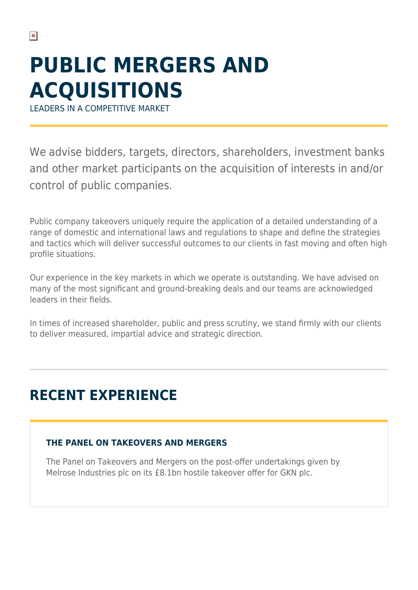# **PUBLIC MERGERS AND ACQUISITIONS**

LEADERS IN A COMPETITIVE MARKET

We advise bidders, targets, directors, shareholders, investment banks and other market participants on the acquisition of interests in and/or control of public companies.

Public company takeovers uniquely require the application of a detailed understanding of a range of domestic and international laws and regulations to shape and define the strategies and tactics which will deliver successful outcomes to our clients in fast moving and often high profile situations.

Our experience in the key markets in which we operate is outstanding. We have advised on many of the most significant and ground-breaking deals and our teams are acknowledged leaders in their fields.

In times of increased shareholder, public and press scrutiny, we stand firmly with our clients to deliver measured, impartial advice and strategic direction.

## **RECENT EXPERIENCE**

### **THE PANEL ON TAKEOVERS AND MERGERS**

The Panel on Takeovers and Mergers on the post-offer undertakings given by Melrose Industries plc on its £8.1bn hostile takeover offer for GKN plc.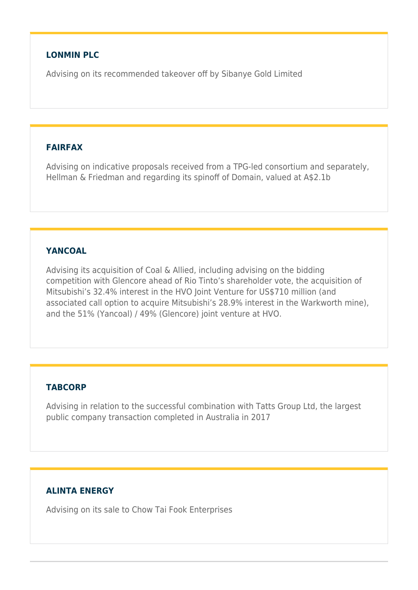#### **LONMIN PLC**

Advising on its recommended takeover off by Sibanye Gold Limited

#### **FAIRFAX**

Advising on indicative proposals received from a TPG-led consortium and separately, Hellman & Friedman and regarding its spinoff of Domain, valued at A\$2.1b

#### **YANCOAL**

Advising its acquisition of Coal & Allied, including advising on the bidding competition with Glencore ahead of Rio Tinto's shareholder vote, the acquisition of Mitsubishi's 32.4% interest in the HVO Joint Venture for US\$710 million (and associated call option to acquire Mitsubishi's 28.9% interest in the Warkworth mine), and the 51% (Yancoal) / 49% (Glencore) joint venture at HVO.

#### **TABCORP**

Advising in relation to the successful combination with Tatts Group Ltd, the largest public company transaction completed in Australia in 2017

#### **ALINTA ENERGY**

Advising on its sale to Chow Tai Fook Enterprises